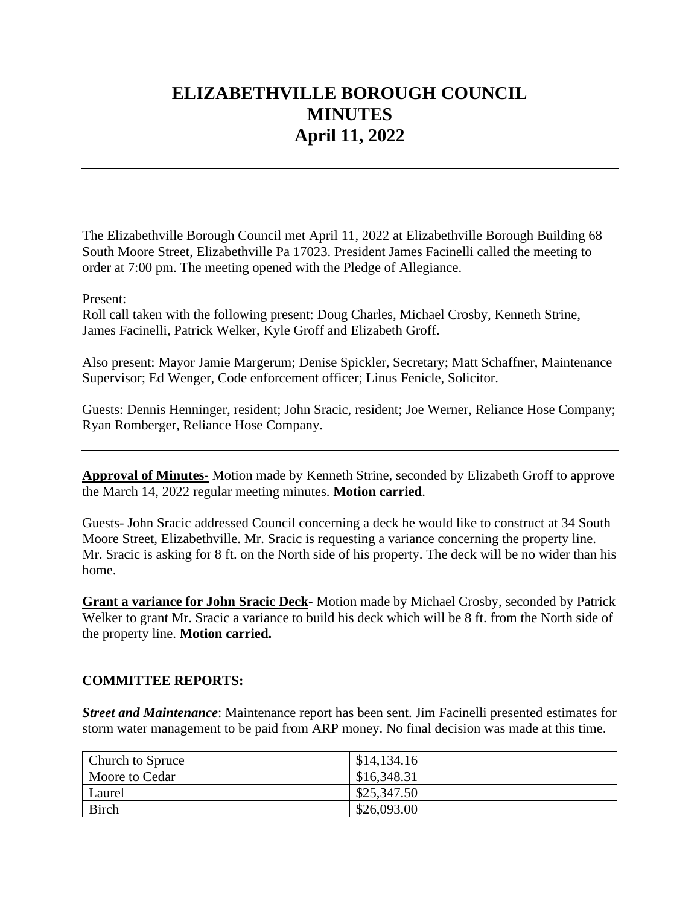# **ELIZABETHVILLE BOROUGH COUNCIL MINUTES April 11, 2022**

The Elizabethville Borough Council met April 11, 2022 at Elizabethville Borough Building 68 South Moore Street, Elizabethville Pa 17023. President James Facinelli called the meeting to order at 7:00 pm. The meeting opened with the Pledge of Allegiance.

Present:

Roll call taken with the following present: Doug Charles, Michael Crosby, Kenneth Strine, James Facinelli, Patrick Welker, Kyle Groff and Elizabeth Groff.

Also present: Mayor Jamie Margerum; Denise Spickler, Secretary; Matt Schaffner, Maintenance Supervisor; Ed Wenger, Code enforcement officer; Linus Fenicle, Solicitor.

Guests: Dennis Henninger, resident; John Sracic, resident; Joe Werner, Reliance Hose Company; Ryan Romberger, Reliance Hose Company.

**Approval of Minutes-** Motion made by Kenneth Strine, seconded by Elizabeth Groff to approve the March 14, 2022 regular meeting minutes. **Motion carried**.

Guests- John Sracic addressed Council concerning a deck he would like to construct at 34 South Moore Street, Elizabethville. Mr. Sracic is requesting a variance concerning the property line. Mr. Sracic is asking for 8 ft. on the North side of his property. The deck will be no wider than his home.

**Grant a variance for John Sracic Deck**- Motion made by Michael Crosby, seconded by Patrick Welker to grant Mr. Sracic a variance to build his deck which will be 8 ft. from the North side of the property line. **Motion carried.**

## **COMMITTEE REPORTS:**

*Street and Maintenance*: Maintenance report has been sent. Jim Facinelli presented estimates for storm water management to be paid from ARP money. No final decision was made at this time.

| <b>Church to Spruce</b> | \$14,134.16 |
|-------------------------|-------------|
| Moore to Cedar          | \$16,348.31 |
| Laurel                  | \$25,347.50 |
| Birch                   | \$26,093.00 |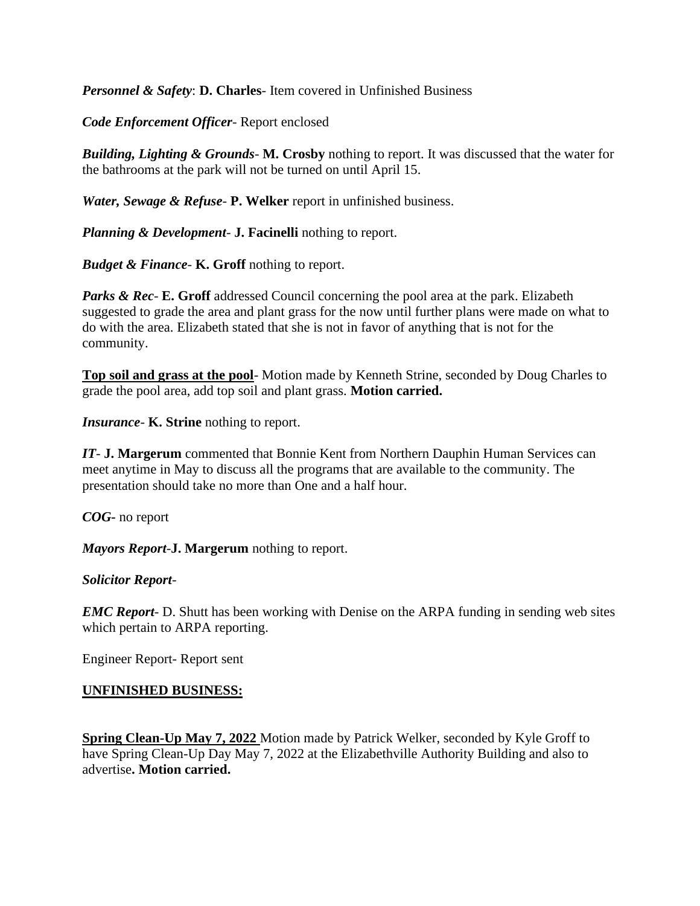*Personnel & Safety*: **D. Charles**- Item covered in Unfinished Business

*Code Enforcement Officer*- Report enclosed

*Building, Lighting & Grounds*- **M. Crosby** nothing to report. It was discussed that the water for the bathrooms at the park will not be turned on until April 15.

*Water, Sewage & Refuse*- **P. Welker** report in unfinished business.

*Planning & Development*- **J. Facinelli** nothing to report.

*Budget & Finance*- **K. Groff** nothing to report.

*Parks & Rec- E.* Groff addressed Council concerning the pool area at the park. Elizabeth suggested to grade the area and plant grass for the now until further plans were made on what to do with the area. Elizabeth stated that she is not in favor of anything that is not for the community.

**Top soil and grass at the pool**- Motion made by Kenneth Strine, seconded by Doug Charles to grade the pool area, add top soil and plant grass. **Motion carried.**

*Insurance*- **K. Strine** nothing to report.

*IT*- **J. Margerum** commented that Bonnie Kent from Northern Dauphin Human Services can meet anytime in May to discuss all the programs that are available to the community. The presentation should take no more than One and a half hour.

*COG-* no report

*Mayors Report*-**J. Margerum** nothing to report.

*Solicitor Report*-

*EMC Report*- D. Shutt has been working with Denise on the ARPA funding in sending web sites which pertain to ARPA reporting.

Engineer Report- Report sent

#### **UNFINISHED BUSINESS:**

**Spring Clean-Up May 7, 2022** Motion made by Patrick Welker, seconded by Kyle Groff to have Spring Clean-Up Day May 7, 2022 at the Elizabethville Authority Building and also to advertise**. Motion carried.**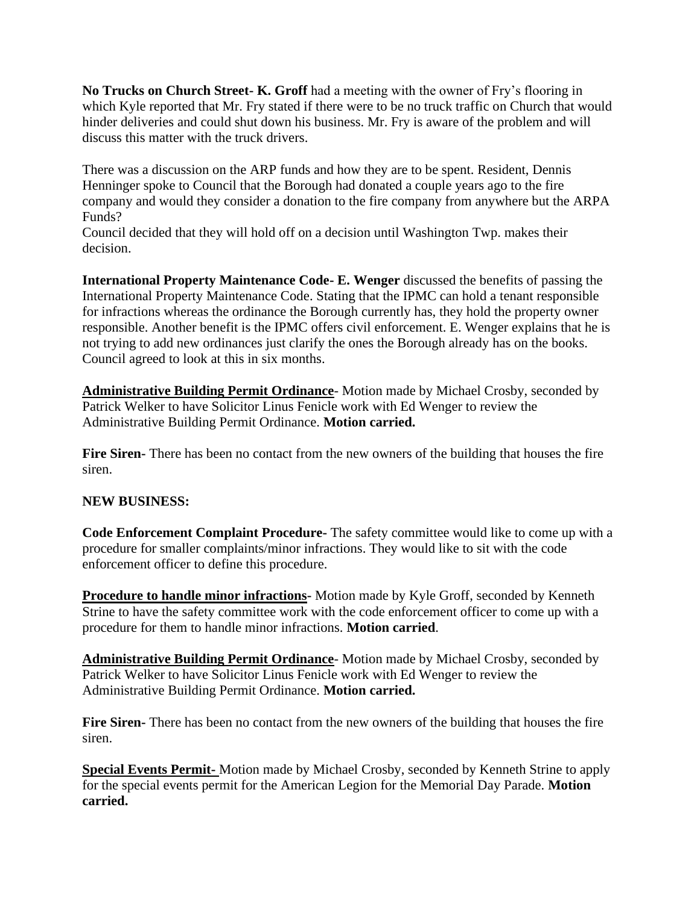**No Trucks on Church Street- K. Groff** had a meeting with the owner of Fry's flooring in which Kyle reported that Mr. Fry stated if there were to be no truck traffic on Church that would hinder deliveries and could shut down his business. Mr. Fry is aware of the problem and will discuss this matter with the truck drivers.

There was a discussion on the ARP funds and how they are to be spent. Resident, Dennis Henninger spoke to Council that the Borough had donated a couple years ago to the fire company and would they consider a donation to the fire company from anywhere but the ARPA Funds?

Council decided that they will hold off on a decision until Washington Twp. makes their decision.

**International Property Maintenance Code- E. Wenger** discussed the benefits of passing the International Property Maintenance Code. Stating that the IPMC can hold a tenant responsible for infractions whereas the ordinance the Borough currently has, they hold the property owner responsible. Another benefit is the IPMC offers civil enforcement. E. Wenger explains that he is not trying to add new ordinances just clarify the ones the Borough already has on the books. Council agreed to look at this in six months.

**Administrative Building Permit Ordinance**- Motion made by Michael Crosby, seconded by Patrick Welker to have Solicitor Linus Fenicle work with Ed Wenger to review the Administrative Building Permit Ordinance. **Motion carried.**

**Fire Siren-** There has been no contact from the new owners of the building that houses the fire siren.

#### **NEW BUSINESS:**

**Code Enforcement Complaint Procedure-** The safety committee would like to come up with a procedure for smaller complaints/minor infractions. They would like to sit with the code enforcement officer to define this procedure.

**Procedure to handle minor infractions-** Motion made by Kyle Groff, seconded by Kenneth Strine to have the safety committee work with the code enforcement officer to come up with a procedure for them to handle minor infractions. **Motion carried**.

**Administrative Building Permit Ordinance**- Motion made by Michael Crosby, seconded by Patrick Welker to have Solicitor Linus Fenicle work with Ed Wenger to review the Administrative Building Permit Ordinance. **Motion carried.**

**Fire Siren-** There has been no contact from the new owners of the building that houses the fire siren.

**Special Events Permit-** Motion made by Michael Crosby, seconded by Kenneth Strine to apply for the special events permit for the American Legion for the Memorial Day Parade. **Motion carried.**